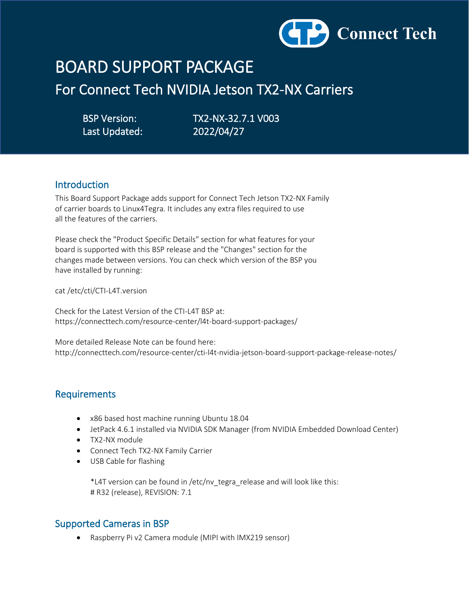

# BOARD SUPPORT PACKAGE

For Connect Tech NVIDIA Jetson TX2-NX Carriers

Last Updated: 2022/04/27

BSP Version: TX2-NX-32.7.1 V003

## Introduction

This Board Support Package adds support for Connect Tech Jetson TX2-NX Family of carrier boards to Linux4Tegra. It includes any extra files required to use all the features of the carriers.

Please check the "Product Specific Details" section for what features for your board is supported with this BSP release and the "Changes" section for the changes made between versions. You can check which version of the BSP you have installed by running:

cat /etc/cti/CTI-L4T.version

Check for the Latest Version of the CTI-L4T BSP at: https://connecttech.com/resource-center/l4t-board-support-packages/

More detailed Release Note can be found here: http://connecttech.com/resource-center/cti-l4t-nvidia-jetson-board-support-package-release-notes/

## Requirements

- x86 based host machine running Ubuntu 18.04
- JetPack 4.6.1 installed via NVIDIA SDK Manager (from NVIDIA Embedded Download Center)
- TX2-NX module
- Connect Tech TX2-NX Family Carrier
- USB Cable for flashing

 \*L4T version can be found in /etc/nv\_tegra\_release and will look like this: # R32 (release), REVISION: 7.1

## Supported Cameras in BSP

• Raspberry Pi v2 Camera module (MIPI with IMX219 sensor)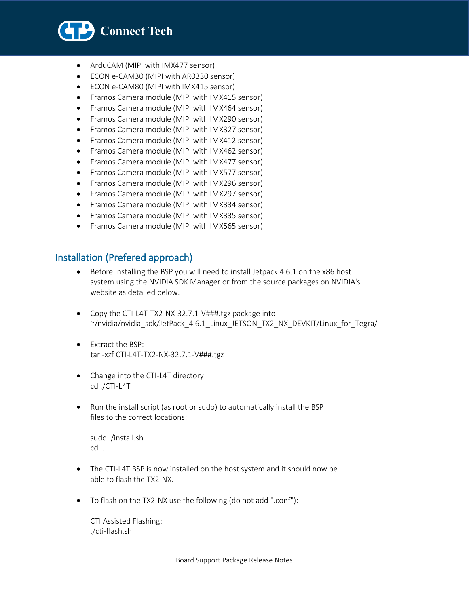

- ArduCAM (MIPI with IMX477 sensor)
- ECON e-CAM30 (MIPI with AR0330 sensor)
- ECON e-CAM80 (MIPI with IMX415 sensor)
- Framos Camera module (MIPI with IMX415 sensor)
- Framos Camera module (MIPI with IMX464 sensor)
- Framos Camera module (MIPI with IMX290 sensor)
- Framos Camera module (MIPI with IMX327 sensor)
- Framos Camera module (MIPI with IMX412 sensor)
- Framos Camera module (MIPI with IMX462 sensor)
- Framos Camera module (MIPI with IMX477 sensor)
- Framos Camera module (MIPI with IMX577 sensor)
- Framos Camera module (MIPI with IMX296 sensor)
- Framos Camera module (MIPI with IMX297 sensor)
- Framos Camera module (MIPI with IMX334 sensor)
- Framos Camera module (MIPI with IMX335 sensor)
- Framos Camera module (MIPI with IMX565 sensor)

# Installation (Prefered approach)

- Before Installing the BSP you will need to install Jetpack 4.6.1 on the x86 host system using the NVIDIA SDK Manager or from the source packages on NVIDIA's website as detailed below.
- Copy the CTI-L4T-TX2-NX-32.7.1-V###.tgz package into ~/nvidia/nvidia\_sdk/JetPack\_4.6.1\_Linux\_JETSON\_TX2\_NX\_DEVKIT/Linux\_for\_Tegra/
- Extract the BSP: tar -xzf CTI-L4T-TX2-NX-32.7.1-V###.tgz
- Change into the CTI-L4T directory: cd ./CTI-L4T
- Run the install script (as root or sudo) to automatically install the BSP files to the correct locations:

 sudo ./install.sh cd ..

- The CTI-L4T BSP is now installed on the host system and it should now be able to flash the TX2-NX.
- To flash on the TX2-NX use the following (do not add ".conf"):

 CTI Assisted Flashing: ./cti-flash.sh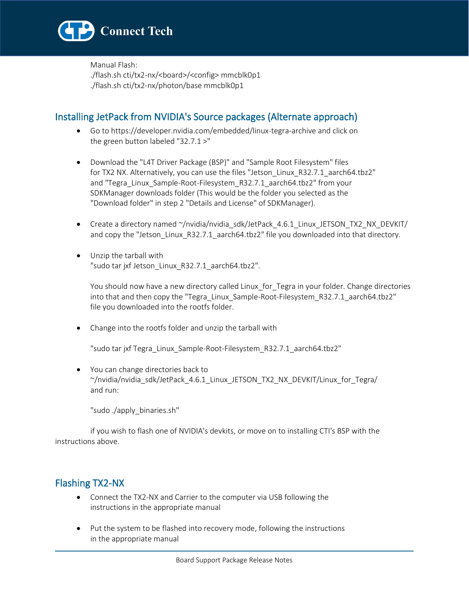

 Manual Flash: ./flash.sh cti/tx2-nx/<board>/<config> mmcblk0p1 ./flash.sh cti/tx2-nx/photon/base mmcblk0p1

# Installing JetPack from NVIDIA's Source packages (Alternate approach)

- Go to https://developer.nvidia.com/embedded/linux-tegra-archive and click on the green button labeled "32.7.1 >"
- Download the "L4T Driver Package (BSP)" and "Sample Root Filesystem" files for TX2 NX. Alternatively, you can use the files "Jetson\_Linux\_R32.7.1\_aarch64.tbz2" and "Tegra\_Linux\_Sample-Root-Filesystem\_R32.7.1\_aarch64.tbz2" from your SDKManager downloads folder (This would be the folder you selected as the "Download folder" in step 2 "Details and License" of SDKManager).
- Create a directory named ~/nvidia/nvidia\_sdk/JetPack\_4.6.1\_Linux\_JETSON\_TX2\_NX\_DEVKIT/ and copy the "Jetson\_Linux\_R32.7.1\_aarch64.tbz2" file you downloaded into that directory.
- Unzip the tarball with "sudo tar jxf Jetson\_Linux\_R32.7.1\_aarch64.tbz2".

You should now have a new directory called Linux\_for\_Tegra in your folder. Change directories into that and then copy the "Tegra\_Linux\_Sample-Root-Filesystem\_R32.7.1\_aarch64.tbz2" file you downloaded into the rootfs folder.

• Change into the rootfs folder and unzip the tarball with

"sudo tar jxf Tegra\_Linux\_Sample-Root-Filesystem\_R32.7.1\_aarch64.tbz2"

• You can change directories back to  $\gamma$ /nvidia/nvidia\_sdk/JetPack\_4.6.1\_Linux\_JETSON\_TX2\_NX\_DEVKIT/Linux\_for\_Tegra/ and run:

"sudo ./apply\_binaries.sh"

 if you wish to flash one of NVIDIA's devkits, or move on to installing CTI's BSP with the instructions above.

## Flashing TX2-NX

- Connect the TX2-NX and Carrier to the computer via USB following the instructions in the appropriate manual
- Put the system to be flashed into recovery mode, following the instructions in the appropriate manual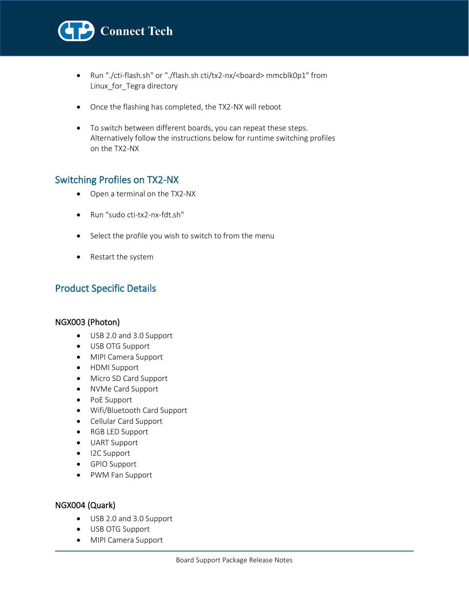

- Run "./cti-flash.sh" or "./flash.sh cti/tx2-nx/<br/>board> mmcblk0p1" from Linux\_for\_Tegra directory
- Once the flashing has completed, the TX2-NX will reboot
- To switch between different boards, you can repeat these steps. Alternatively follow the instructions below for runtime switching profiles on the TX2-NX

## Switching Profiles on TX2-NX

- Open a terminal on the TX2-NX
- Run "sudo cti-tx2-nx-fdt.sh"
- Select the profile you wish to switch to from the menu
- Restart the system

# Product Specific Details

### NGX003 (Photon)

- USB 2.0 and 3.0 Support
- USB OTG Support
- MIPI Camera Support
- HDMI Support
- Micro SD Card Support
- NVMe Card Support
- PoE Support
- Wifi/Bluetooth Card Support
- Cellular Card Support
- RGB LED Support
- UART Support
- I2C Support
- GPIO Support
- PWM Fan Support

#### NGX004 (Quark)

- USB 2.0 and 3.0 Support
- USB OTG Support
- MIPI Camera Support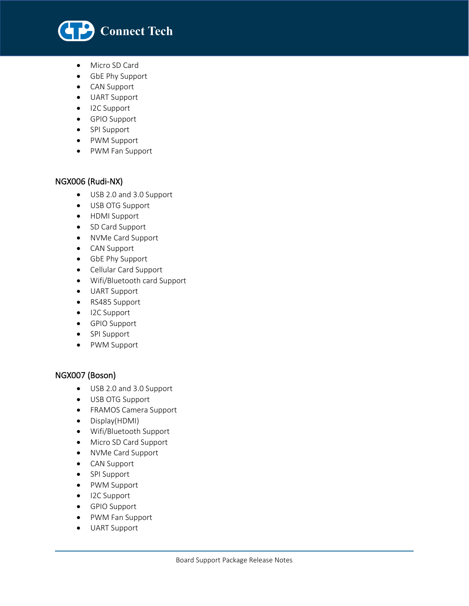

• Micro SD Card

l

- GbE Phy Support
- CAN Support
- UART Support
- I2C Support
- GPIO Support
- SPI Support
- PWM Support
- PWM Fan Support

### NGX006 (Rudi-NX)

- USB 2.0 and 3.0 Support
- USB OTG Support
- HDMI Support
- SD Card Support
- NVMe Card Support
- CAN Support
- GbE Phy Support
- Cellular Card Support
- Wifi/Bluetooth card Support
- UART Support
- RS485 Support
- I2C Support
- GPIO Support
- SPI Support
- PWM Support

### NGX007 (Boson)

- USB 2.0 and 3.0 Support
- USB OTG Support
- FRAMOS Camera Support
- Display(HDMI)
- Wifi/Bluetooth Support
- Micro SD Card Support
- NVMe Card Support
- CAN Support
- SPI Support
- PWM Support
- I2C Support
- GPIO Support
- PWM Fan Support
- UART Support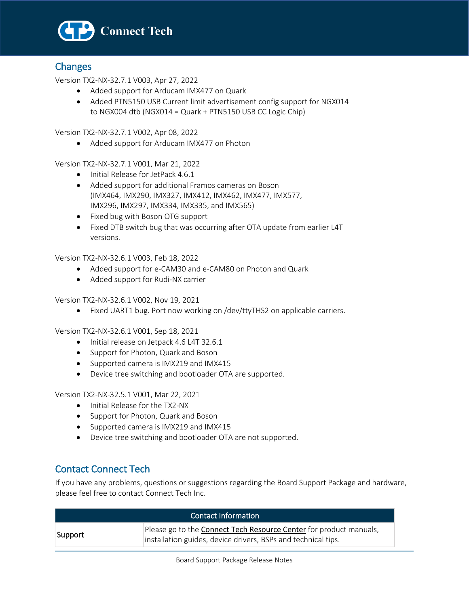

## **Changes**

l

Version TX2-NX-32.7.1 V003, Apr 27, 2022

- Added support for Arducam IMX477 on Quark
- Added PTN5150 USB Current limit advertisement config support for NGX014 to NGX004 dtb (NGX014 = Quark + PTN5150 USB CC Logic Chip)

Version TX2-NX-32.7.1 V002, Apr 08, 2022

• Added support for Arducam IMX477 on Photon

Version TX2-NX-32.7.1 V001, Mar 21, 2022

- Initial Release for JetPack 4.6.1
- Added support for additional Framos cameras on Boson (IMX464, IMX290, IMX327, IMX412, IMX462, IMX477, IMX577, IMX296, IMX297, IMX334, IMX335, and IMX565)
- Fixed bug with Boson OTG support
- Fixed DTB switch bug that was occurring after OTA update from earlier L4T versions.

Version TX2-NX-32.6.1 V003, Feb 18, 2022

- Added support for e-CAM30 and e-CAM80 on Photon and Quark
- Added support for Rudi-NX carrier

Version TX2-NX-32.6.1 V002, Nov 19, 2021

• Fixed UART1 bug. Port now working on /dev/ttyTHS2 on applicable carriers.

Version TX2-NX-32.6.1 V001, Sep 18, 2021

- Initial release on Jetpack 4.6 L4T 32.6.1
- Support for Photon, Quark and Boson
- Supported camera is IMX219 and IMX415
- Device tree switching and bootloader OTA are supported.

Version TX2-NX-32.5.1 V001, Mar 22, 2021

- Initial Release for the TX2-NX
- Support for Photon, Quark and Boson
- Supported camera is IMX219 and IMX415
- Device tree switching and bootloader OTA are not supported.

## Contact Connect Tech

If you have any problems, questions or suggestions regarding the Board Support Package and hardware, please feel free to contact Connect Tech Inc.

| Contact Information |                                                                                                                                     |  |
|---------------------|-------------------------------------------------------------------------------------------------------------------------------------|--|
| Support             | Please go to the Connect Tech Resource Center for product manuals,<br>installation guides, device drivers, BSPs and technical tips. |  |